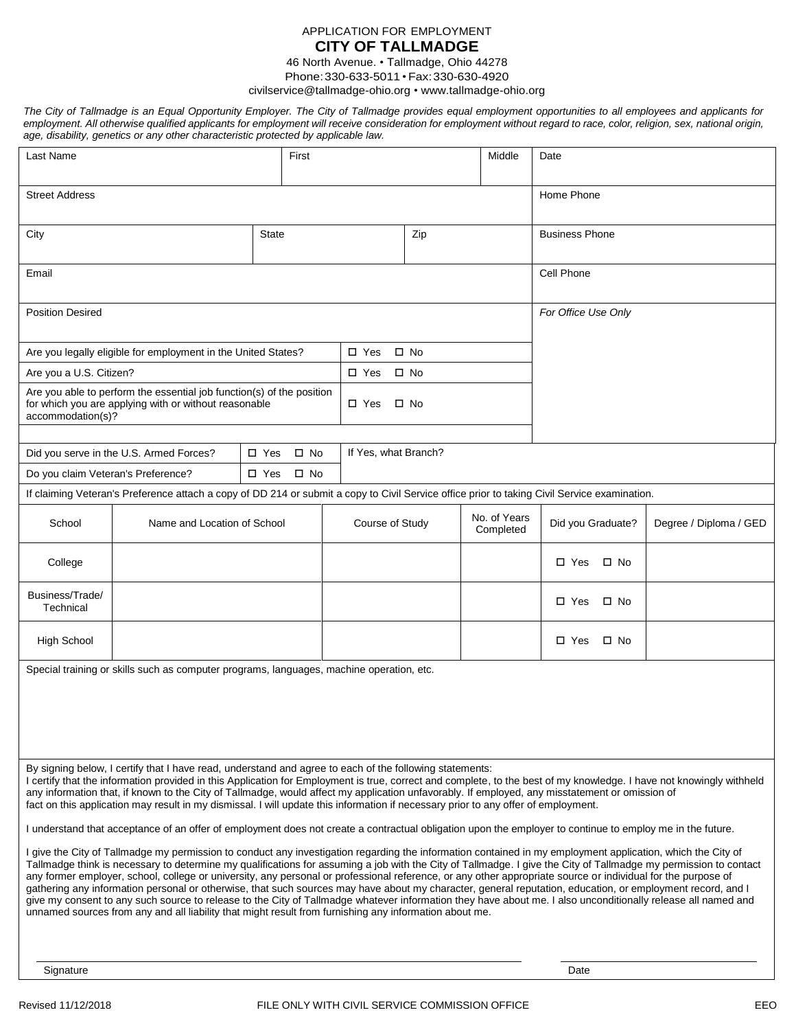## APPLICATION FOR EMPLOYMENT **CITY OF TALLMADGE**

46 North Avenue. • Tallmadge, Ohio 44278 Phone:330-633-5011 • Fax:330-630-4920

[civilservice@tallmadge-ohio.org](mailto:civilservice@tallmadge-ohio.org) • [www.tallmadge-ohio.org](https://tallmadge-ohio.org)

| The City of Tallmadge is an Equal Opportunity Employer. The City of Tallmadge provides equal employment opportunities to all employees and applicants for<br>employment. All otherwise qualified applicants for employment will receive consideration for employment without regard to race, color, religion, sex, national origin,<br>age, disability, genetics or any other characteristic protected by applicable law. |            |        |      |  |
|---------------------------------------------------------------------------------------------------------------------------------------------------------------------------------------------------------------------------------------------------------------------------------------------------------------------------------------------------------------------------------------------------------------------------|------------|--------|------|--|
| Last Name                                                                                                                                                                                                                                                                                                                                                                                                                 | First      | Middle | Date |  |
| <b>Street Address</b>                                                                                                                                                                                                                                                                                                                                                                                                     | Home Phone |        |      |  |

| <b>Street Address</b>                                                                                                                                                                                                                                                                                                                                                                                                                                                                                                                                                   |                                                                                                                                              |                               |                            | Home Phone   |                           |                       |  |                        |
|-------------------------------------------------------------------------------------------------------------------------------------------------------------------------------------------------------------------------------------------------------------------------------------------------------------------------------------------------------------------------------------------------------------------------------------------------------------------------------------------------------------------------------------------------------------------------|----------------------------------------------------------------------------------------------------------------------------------------------|-------------------------------|----------------------------|--------------|---------------------------|-----------------------|--|------------------------|
| City                                                                                                                                                                                                                                                                                                                                                                                                                                                                                                                                                                    |                                                                                                                                              | <b>State</b>                  |                            | Zip          |                           | <b>Business Phone</b> |  |                        |
| Email                                                                                                                                                                                                                                                                                                                                                                                                                                                                                                                                                                   |                                                                                                                                              |                               |                            | Cell Phone   |                           |                       |  |                        |
| <b>Position Desired</b>                                                                                                                                                                                                                                                                                                                                                                                                                                                                                                                                                 |                                                                                                                                              |                               |                            |              | For Office Use Only       |                       |  |                        |
|                                                                                                                                                                                                                                                                                                                                                                                                                                                                                                                                                                         | Are you legally eligible for employment in the United States?                                                                                |                               | $\Box$ Yes                 | $\square$ No |                           |                       |  |                        |
| Are you a U.S. Citizen?                                                                                                                                                                                                                                                                                                                                                                                                                                                                                                                                                 |                                                                                                                                              |                               | $\square$ Yes<br>$\Box$ No |              |                           |                       |  |                        |
| Are you able to perform the essential job function(s) of the position<br>for which you are applying with or without reasonable<br>accommodation(s)?                                                                                                                                                                                                                                                                                                                                                                                                                     |                                                                                                                                              |                               | □ Yes<br>$\square$ No      |              |                           |                       |  |                        |
|                                                                                                                                                                                                                                                                                                                                                                                                                                                                                                                                                                         | Did you serve in the U.S. Armed Forces?                                                                                                      | $\square$ No<br>$\Box$ Yes    | If Yes, what Branch?       |              |                           |                       |  |                        |
| Do you claim Veteran's Preference?                                                                                                                                                                                                                                                                                                                                                                                                                                                                                                                                      |                                                                                                                                              | $\square$ Yes<br>$\square$ No |                            |              |                           |                       |  |                        |
|                                                                                                                                                                                                                                                                                                                                                                                                                                                                                                                                                                         | If claiming Veteran's Preference attach a copy of DD 214 or submit a copy to Civil Service office prior to taking Civil Service examination. |                               |                            |              |                           |                       |  |                        |
| School                                                                                                                                                                                                                                                                                                                                                                                                                                                                                                                                                                  | Name and Location of School                                                                                                                  |                               | Course of Study            |              | No. of Years<br>Completed | Did you Graduate?     |  | Degree / Diploma / GED |
| College                                                                                                                                                                                                                                                                                                                                                                                                                                                                                                                                                                 |                                                                                                                                              |                               |                            |              |                           | □ Yes<br>$\Box$ No    |  |                        |
| Business/Trade/<br>Technical                                                                                                                                                                                                                                                                                                                                                                                                                                                                                                                                            |                                                                                                                                              |                               |                            |              |                           | $\square$ Yes<br>□ No |  |                        |
| <b>High School</b>                                                                                                                                                                                                                                                                                                                                                                                                                                                                                                                                                      |                                                                                                                                              |                               |                            |              |                           | □ Yes<br>$\square$ No |  |                        |
| Special training or skills such as computer programs, languages, machine operation, etc.                                                                                                                                                                                                                                                                                                                                                                                                                                                                                |                                                                                                                                              |                               |                            |              |                           |                       |  |                        |
| By signing below, I certify that I have read, understand and agree to each of the following statements:<br>I certify that the information provided in this Application for Employment is true, correct and complete, to the best of my knowledge. I have not knowingly withheld<br>any information that, if known to the City of Tallmadge, would affect my application unfavorably. If employed, any misstatement or omission of<br>fact on this application may result in my dismissal. I will update this information if necessary prior to any offer of employment. |                                                                                                                                              |                               |                            |              |                           |                       |  |                        |
| I understand that acceptance of an offer of employment does not create a contractual obligation upon the employer to continue to employ me in the future.                                                                                                                                                                                                                                                                                                                                                                                                               |                                                                                                                                              |                               |                            |              |                           |                       |  |                        |
| I give the City of Tallmadge my permission to conduct any investigation regarding the information contained in my employment application, which the City of<br>Tallmadge think is necessary to determine my qualifications for assuming a job with the City of Tallmadge. I give the City of Tallmadge my permission to contact<br>any former employer, school, college or university, any personal or professional reference, or any other appropriate source or individual for the purpose of                                                                         |                                                                                                                                              |                               |                            |              |                           |                       |  |                        |

gathering any information personal or otherwise, that such sources may have about my character, general reputation, education, or employment record, and I give my consent to any such source to release to the City of Tallmadge whatever information they have about me. I also unconditionally release all named and unnamed sources from any and all liability that might result from furnishing any information about me.

Signature **Date**